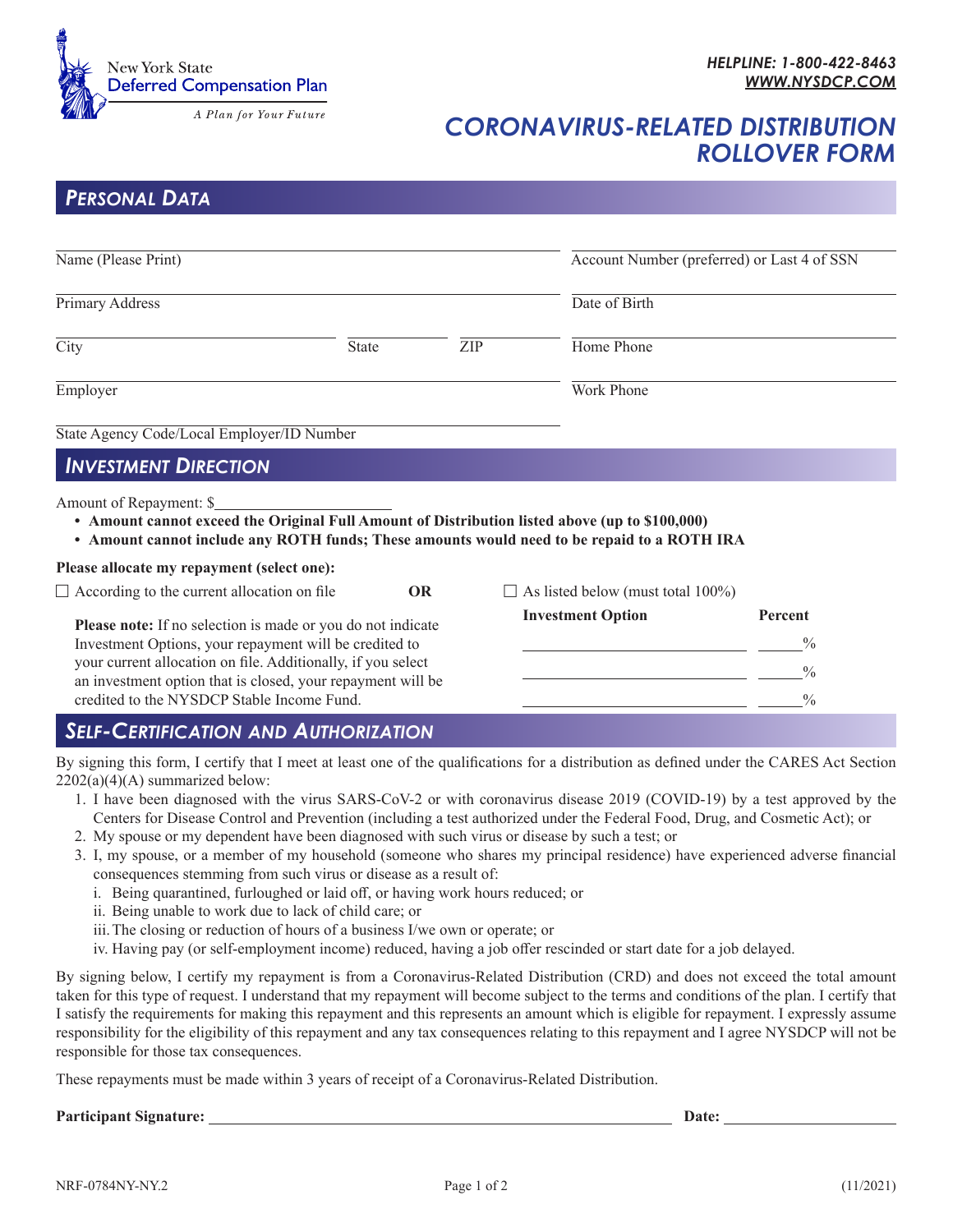

# *CORONAVIRUS-RELATED DISTRIBUTION ROLLOVER FORM*

## *PERSONAL DATA*

| Name (Please Print)                                                                                                                                                                                                                                  |              |     | Account Number (preferred) or Last 4 of SSN |                                           |
|------------------------------------------------------------------------------------------------------------------------------------------------------------------------------------------------------------------------------------------------------|--------------|-----|---------------------------------------------|-------------------------------------------|
| Primary Address                                                                                                                                                                                                                                      |              |     | Date of Birth                               |                                           |
| City                                                                                                                                                                                                                                                 | <b>State</b> | ZIP | Home Phone                                  |                                           |
| Employer                                                                                                                                                                                                                                             |              |     | Work Phone                                  |                                           |
| State Agency Code/Local Employer/ID Number                                                                                                                                                                                                           |              |     |                                             |                                           |
| <b>INVESTMENT DIRECTION</b>                                                                                                                                                                                                                          |              |     |                                             |                                           |
| Amount of Repayment: \$<br>• Amount cannot exceed the Original Full Amount of Distribution listed above (up to \$100,000)<br>• Amount cannot include any ROTH funds; These amounts would need to be repaid to a ROTH IRA                             |              |     |                                             |                                           |
| Please allocate my repayment (select one):                                                                                                                                                                                                           |              |     |                                             |                                           |
| $\Box$ According to the current allocation on file                                                                                                                                                                                                   | <b>OR</b>    |     | As listed below (must total 100%)           |                                           |
| Please note: If no selection is made or you do not indicate<br>Investment Options, your repayment will be credited to<br>your current allocation on file. Additionally, if you select<br>an investment option that is closed, your repayment will be |              |     | <b>Investment Option</b>                    | Percent<br>$\frac{0}{0}$<br>$\frac{0}{0}$ |

## *SELF-CERTIFICATION AND AUTHORIZATION*

By signing this form, I certify that I meet at least one of the qualifications for a distribution as defined under the CARES Act Section  $2202(a)(4)(A)$  summarized below:

credited to the NYSDCP Stable Income Fund. %

1. I have been diagnosed with the virus SARS-CoV-2 or with coronavirus disease 2019 (COVID-19) by a test approved by the Centers for Disease Control and Prevention (including a test authorized under the Federal Food, Drug, and Cosmetic Act); or

 $\overline{a}$ 

- 2. My spouse or my dependent have been diagnosed with such virus or disease by such a test; or
- 3. I, my spouse, or a member of my household (someone who shares my principal residence) have experienced adverse financial consequences stemming from such virus or disease as a result of:
	- i. Being quarantined, furloughed or laid off, or having work hours reduced; or
	- ii. Being unable to work due to lack of child care; or
	- iii.The closing or reduction of hours of a business I/we own or operate; or
	- iv. Having pay (or self-employment income) reduced, having a job offer rescinded or start date for a job delayed.

By signing below, I certify my repayment is from a Coronavirus-Related Distribution (CRD) and does not exceed the total amount taken for this type of request. I understand that my repayment will become subject to the terms and conditions of the plan. I certify that I satisfy the requirements for making this repayment and this represents an amount which is eligible for repayment. I expressly assume responsibility for the eligibility of this repayment and any tax consequences relating to this repayment and I agree NYSDCP will not be responsible for those tax consequences.

These repayments must be made within 3 years of receipt of a Coronavirus-Related Distribution.

#### **Participant Signature: Date:**